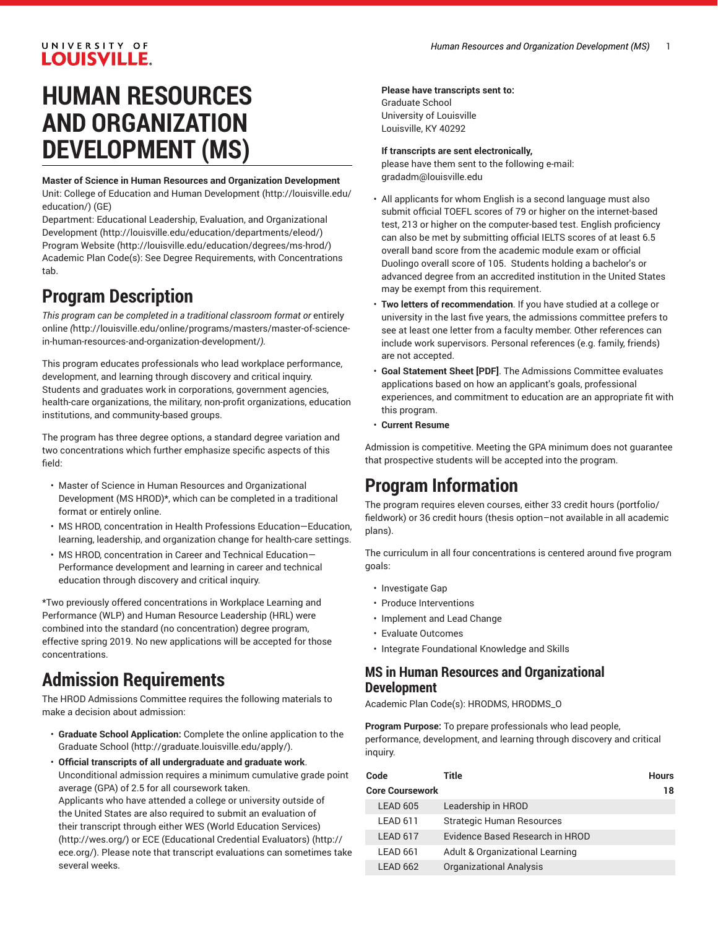# UNIVERSITY OF **LOUISVILLE.**

# **HUMAN RESOURCES AND ORGANIZATION DEVELOPMENT (MS)**

#### **Master of Science in Human Resources and Organization Development** Unit: College of Education and Human [Development \(http://louisville.edu/](http://louisville.edu/education/) [education/](http://louisville.edu/education/)) (GE)

Department: Educational Leadership, Evaluation, and [Organizational](http://louisville.edu/education/departments/eleod/) [Development](http://louisville.edu/education/departments/eleod/) ([http://louisville.edu/education/departments/eleod/\)](http://louisville.edu/education/departments/eleod/) [Program](http://louisville.edu/education/degrees/ms-hrod/) Website [\(http://louisville.edu/education/degrees/ms-hrod/](http://louisville.edu/education/degrees/ms-hrod/)) Academic Plan Code(s): See Degree Requirements, with Concentrations tab.

# **Program Description**

*This program can be completed in a traditional classroom format or* [entirely](http://louisville.edu/online/programs/masters/master-of-science-in-human-resources-and-organization-development/) [online](http://louisville.edu/online/programs/masters/master-of-science-in-human-resources-and-organization-development/) *(*[http://louisville.edu/online/programs/masters/master-of-science](http://louisville.edu/online/programs/masters/master-of-science-in-human-resources-and-organization-development/)[in-human-resources-and-organization-development/](http://louisville.edu/online/programs/masters/master-of-science-in-human-resources-and-organization-development/)*).*

This program educates professionals who lead workplace performance, development, and learning through discovery and critical inquiry. Students and graduates work in corporations, government agencies, health-care organizations, the military, non-profit organizations, education institutions, and community-based groups.

The program has three degree options, a standard degree variation and two concentrations which further emphasize specific aspects of this field:

- Master of Science in Human Resources and Organizational Development (MS HROD)\*, which can be completed in a traditional format or entirely online.
- MS HROD, concentration in Health Professions Education—Education, learning, leadership, and organization change for health-care settings.
- MS HROD, concentration in Career and Technical Education— Performance development and learning in career and technical education through discovery and critical inquiry.

\*Two previously offered concentrations in Workplace Learning and Performance (WLP) and Human Resource Leadership (HRL) were combined into the standard (no concentration) degree program, effective spring 2019. No new applications will be accepted for those concentrations.

# **Admission Requirements**

The HROD Admissions Committee requires the following materials to make a decision about admission:

- **Graduate School Application:** Complete the [online application to the](http://graduate.louisville.edu/apply/) [Graduate School](http://graduate.louisville.edu/apply/) (<http://graduate.louisville.edu/apply/>).
- **Official transcripts of all undergraduate and graduate work**. Unconditional admission requires a minimum cumulative grade point average (GPA) of 2.5 for all coursework taken.

Applicants who have attended a college or university outside of the United States are also required to submit an evaluation of their transcript through either WES (World [Education](http://wes.org/) Services) ([http://wes.org/\)](http://wes.org/) or ECE [\(Educational](http://ece.org/) Credential Evaluators) ([http://](http://ece.org/) [ece.org/\)](http://ece.org/). Please note that transcript evaluations can sometimes take several weeks.

### **Please have transcripts sent to:**

Graduate School University of Louisville Louisville, KY 40292

## **If transcripts are sent electronically,**

please have them sent to the following e-mail: [gradadm@louisville.edu](mailto:gradadm@louisville.edu)

- All applicants for whom English is a second language must also submit official TOEFL scores of 79 or higher on the internet-based test, 213 or higher on the computer-based test. English proficiency can also be met by submitting official IELTS scores of at least 6.5 overall band score from the academic module exam or official Duolingo overall score of 105. Students holding a bachelor's or advanced degree from an accredited institution in the United States may be exempt from this requirement.
- **Two letters of recommendation**. If you have studied at a college or university in the last five years, the admissions committee prefers to see at least one letter from a faculty member. Other references can include work supervisors. Personal references (e.g. family, friends) are not accepted.
- **Goal Statement Sheet [PDF]**. The Admissions Committee evaluates applications based on how an applicant's goals, professional experiences, and commitment to education are an appropriate fit with this program.
- **Current Resume**

Admission is competitive. Meeting the GPA minimum does not guarantee that prospective students will be accepted into the program.

# **Program Information**

The program requires eleven courses, either 33 credit hours (portfolio/ fieldwork) or 36 credit hours (thesis option–not available in all academic plans).

The curriculum in all four concentrations is centered around five program goals:

- Investigate Gap
- Produce Interventions
- Implement and Lead Change
- Evaluate Outcomes
- Integrate Foundational Knowledge and Skills

## **MS in Human Resources and Organizational Development**

Academic Plan Code(s): HRODMS, HRODMS\_O

**Program Purpose:** To prepare professionals who lead people, performance, development, and learning through discovery and critical inquiry.

| Code                   | Title                                      | <b>Hours</b> |
|------------------------|--------------------------------------------|--------------|
| <b>Core Coursework</b> |                                            | 18           |
| <b>LEAD 605</b>        | Leadership in HROD                         |              |
| LEAD 611               | <b>Strategic Human Resources</b>           |              |
| LEAD 617               | Evidence Based Research in HROD            |              |
| LEAD 661               | <b>Adult &amp; Organizational Learning</b> |              |
| <b>LEAD 662</b>        | <b>Organizational Analysis</b>             |              |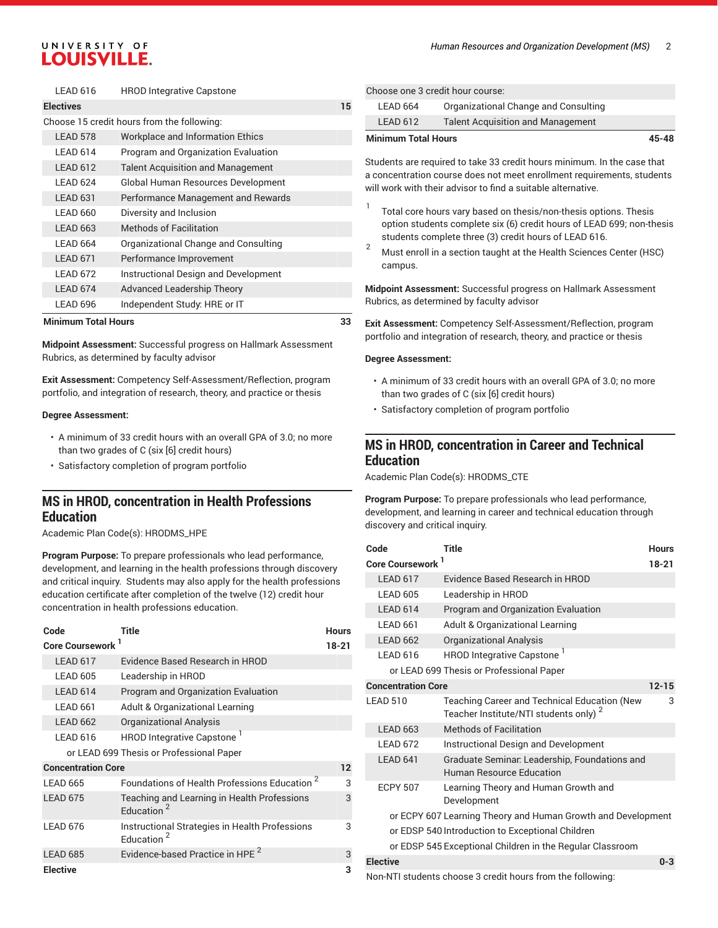#### *Human Resources and Organization Development (MS)* 2

# UNIVERSITY OF **LOUISVILLE.**

|                                            | LEAD 616            | <b>HROD Integrative Capstone</b>         |    |
|--------------------------------------------|---------------------|------------------------------------------|----|
| <b>Electives</b>                           |                     |                                          | 15 |
| Choose 15 credit hours from the following: |                     |                                          |    |
|                                            | LEAD 578            | <b>Workplace and Information Ethics</b>  |    |
|                                            | LEAD 614            | Program and Organization Evaluation      |    |
|                                            | LEAD 612            | <b>Talent Acquisition and Management</b> |    |
|                                            | LEAD 624            | Global Human Resources Development       |    |
|                                            | LEAD <sub>631</sub> | Performance Management and Rewards       |    |
|                                            | LEAD 660            | Diversity and Inclusion                  |    |
|                                            | <b>LEAD 663</b>     | <b>Methods of Facilitation</b>           |    |
|                                            | LEAD 664            | Organizational Change and Consulting     |    |
|                                            | LEAD 671            | Performance Improvement                  |    |
|                                            | LEAD 672            | Instructional Design and Development     |    |
|                                            | LEAD 674            | <b>Advanced Leadership Theory</b>        |    |
|                                            | LEAD 696            | Independent Study: HRE or IT             |    |

#### **Minimum Total Hours 33**

**Midpoint Assessment:** Successful progress on Hallmark Assessment Rubrics, as determined by faculty advisor

**Exit Assessment:** Competency Self-Assessment/Reflection, program portfolio, and integration of research, theory, and practice or thesis

#### **Degree Assessment:**

- A minimum of 33 credit hours with an overall GPA of 3.0; no more than two grades of C (six [6] credit hours)
- Satisfactory completion of program portfolio

## **MS in HROD, concentration in Health Professions Education**

Academic Plan Code(s): HRODMS\_HPE

**Program Purpose:** To prepare professionals who lead performance, development, and learning in the health professions through discovery and critical inquiry. Students may also apply for the health professions education certificate after completion of the twelve (12) credit hour concentration in health professions education.

| Code                                     | Title                                                                    | <b>Hours</b> |  |
|------------------------------------------|--------------------------------------------------------------------------|--------------|--|
| Core Coursework <sup>1</sup>             |                                                                          | 18-21        |  |
| LEAD 617                                 | Evidence Based Research in HROD                                          |              |  |
| LEAD 605                                 | Leadership in HROD                                                       |              |  |
| LEAD 614                                 | Program and Organization Evaluation                                      |              |  |
| LEAD 661                                 | Adult & Organizational Learning                                          |              |  |
| <b>LEAD 662</b>                          | Organizational Analysis                                                  |              |  |
| <b>LEAD 616</b>                          | HROD Integrative Capstone <sup>1</sup>                                   |              |  |
| or LEAD 699 Thesis or Professional Paper |                                                                          |              |  |
| <b>Concentration Core</b>                |                                                                          |              |  |
| LEAD 665                                 | Foundations of Health Professions Education <sup>2</sup>                 | 3            |  |
| <b>LEAD 675</b>                          | Teaching and Learning in Health Professions<br>Education <sup>2</sup>    | 3            |  |
| <b>LEAD 676</b>                          | Instructional Strategies in Health Professions<br>Education <sup>2</sup> | 3            |  |
| <b>LEAD 685</b>                          | Evidence-based Practice in HPF <sup>2</sup>                              | 3            |  |
| <b>Elective</b>                          |                                                                          | 3            |  |

| Choose one 3 credit hour course: |  |  |  |  |
|----------------------------------|--|--|--|--|
|----------------------------------|--|--|--|--|

| <b>Minimum Total Hours</b> |                                          | 45-48 |
|----------------------------|------------------------------------------|-------|
| LEAD 612                   | <b>Talent Acquisition and Management</b> |       |
| LEAD 664                   | Organizational Change and Consulting     |       |
|                            |                                          |       |

Students are required to take 33 credit hours minimum. In the case that a concentration course does not meet enrollment requirements, students will work with their advisor to find a suitable alternative.

- 1 Total core hours vary based on thesis/non-thesis options. Thesis option students complete six (6) credit hours of LEAD 699; non-thesis students complete three (3) credit hours of LEAD 616.
- <sup>2</sup> Must enroll in <sup>a</sup> section taught at the Health Sciences Center (HSC) campus.

**Midpoint Assessment:** Successful progress on Hallmark Assessment Rubrics, as determined by faculty advisor

**Exit Assessment:** Competency Self-Assessment/Reflection, program portfolio and integration of research, theory, and practice or thesis

#### **Degree Assessment:**

- A minimum of 33 credit hours with an overall GPA of 3.0; no more than two grades of C (six [6] credit hours)
- Satisfactory completion of program portfolio

## **MS in HROD, concentration in Career and Technical Education**

Academic Plan Code(s): HRODMS\_CTE

**Program Purpose:** To prepare professionals who lead performance, development, and learning in career and technical education through discovery and critical inquiry.

| Code                                                         | <b>Title</b>                                                                                             | <b>Hours</b> |  |
|--------------------------------------------------------------|----------------------------------------------------------------------------------------------------------|--------------|--|
| Core Coursework <sup>1</sup>                                 |                                                                                                          | $18-21$      |  |
| LEAD 617                                                     | Evidence Based Research in HROD                                                                          |              |  |
| <b>LEAD 605</b>                                              | Leadership in HROD                                                                                       |              |  |
| LEAD 614                                                     | Program and Organization Evaluation                                                                      |              |  |
| LEAD 661                                                     | <b>Adult &amp; Organizational Learning</b>                                                               |              |  |
| <b>LEAD 662</b>                                              | <b>Organizational Analysis</b>                                                                           |              |  |
| <b>IFAD 616</b>                                              | HROD Integrative Capstone <sup>1</sup>                                                                   |              |  |
|                                                              | or LEAD 699 Thesis or Professional Paper                                                                 |              |  |
| <b>Concentration Core</b><br>$12 - 15$                       |                                                                                                          |              |  |
| <b>LEAD 510</b>                                              | <b>Teaching Career and Technical Education (New</b><br>Teacher Institute/NTI students only) <sup>2</sup> | 3            |  |
| <b>LEAD 663</b>                                              | <b>Methods of Facilitation</b>                                                                           |              |  |
| <b>LEAD 672</b>                                              | Instructional Design and Development                                                                     |              |  |
| LEAD 641                                                     | Graduate Seminar: Leadership, Foundations and<br><b>Human Resource Education</b>                         |              |  |
| <b>FCPY 507</b>                                              | Learning Theory and Human Growth and<br>Development                                                      |              |  |
| or ECPY 607 Learning Theory and Human Growth and Development |                                                                                                          |              |  |
|                                                              | or EDSP 540 Introduction to Exceptional Children                                                         |              |  |
|                                                              | or EDSP 545 Exceptional Children in the Regular Classroom                                                |              |  |
| <b>Elective</b>                                              |                                                                                                          | $0 - 3$      |  |

Non-NTI students choose 3 credit hours from the following: